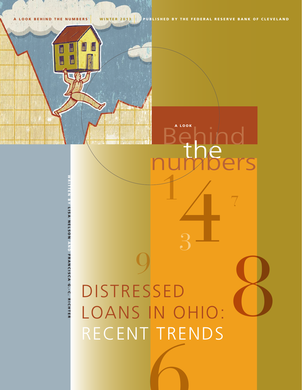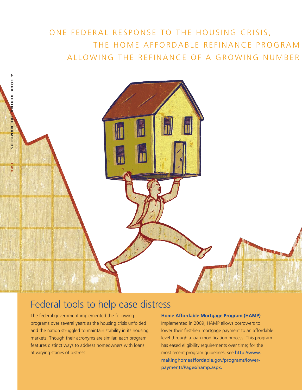# ONE FEDERAL RESPONSE TO THE HOUSING CRISIS, THE HOME AFFORDABLE REFINANCE PROGRAM ALLOWING THE REFINANCE OF A GROWING NUMBER



# Federal tools to help ease distress

The federal government implemented the following programs over several years as the housing crisis unfolded and the nation struggled to maintain stability in its housing markets. Though their acronyms are similar, each program features distinct ways to address homeowners with loans at varying stages of distress.

### **Home Affordable Mortgage Program (HAMP)**

Implemented in 2009, HAMP allows borrowers to lower their first-lien mortgage payment to an affordable level through a loan modification process. This program has eased eligibility requirements over time; for the most recent program guidelines, see http://www. makinghomeaffordable.gov/programs/lowerpayments/Pages/hamp.aspx.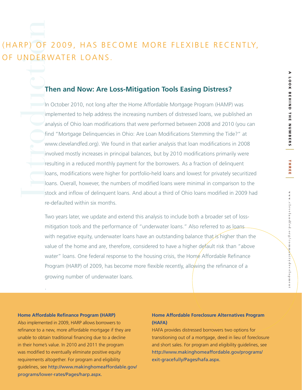# RPODUCTION (HARP) OF 2009, HAS BECOME MORE FLEXIBLE RECENTLY, OF UNDERWATER LOANS.

# **Then and Now: Are Loss-Mitigation Tools Easing Distress?**

In October 2010, not long after the Home Affordable Mortgage Program (HAMP) was implemented to help address the increasing numbers of distressed loans, we published an analysis of Ohio loan modifications that were performed between 2008 and 2010 (you can find "Mortgage Delinquencies in Ohio: Are Loan Modifications Stemming the Tide?" at www.clevelandfed.org). We found in that earlier analysis that loan modifications in 2008 involved mostly increases in principal balances, but by 2010 modifications primarily were resulting in a reduced monthly payment for the borrowers. As a fraction of delinquent loans, modifications were higher for portfolio-held loans and lowest for privately securitized loans. Overall, however, the numbers of modified loans were minimal in comparison to the stock and inflow of delinquent loans. And about a third of Ohio loans modified in 2009 had re-defaulted within six months.

Two years later, we update and extend this analysis to include both a broader set of lossmitigation tools and the performance of "underwater loans." Also referred to as loans with negative equity, underwater loans have an outstanding balance that is higher than the value of the home and are, therefore, considered to have a higher default risk than "above water" loans. One federal response to the housing crisis, the Home Affordable Refinance Program (HARP) of 2009, has become more flexible recently, allowing the refinance of a growing number of underwater loans.

### **Home Affordable Refinance Program (HARP)**

.

Also implemented in 2009, HARP allows borrowers to refinance to a new, more affordable mortgage if they are unable to obtain traditional financing due to a decline in their home's value. In 2010 and 2011 the program was modified to eventually eliminate positive equity requirements altogether. For program and eligibility guidelines, see http://www.makinghomeaffordable.gov/ programs/lower-rates/Pages/harp.aspx.

### **Home Affordable Foreclosure Alternatives Program (HAFA)**

HAFA provides distressed borrowers two options for transitioning out of a mortgage, deed in lieu of foreclosure and short sales. For program and eligibility guidelines, see http://www.makinghomeaffordable.gov/programs/ exit-gracefully/Pages/hafa.aspx.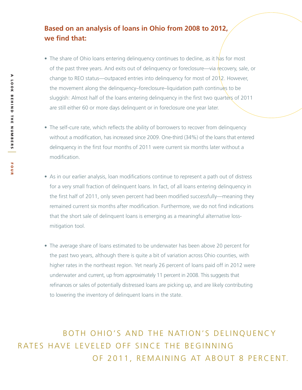# **Based on an analysis of loans in Ohio from 2008 to 2012, we find that:**

- The share of Ohio loans entering delinquency continues to decline, as it has for most of the past three years. And exits out of delinguency or foreclosure—via recovery, sale, or change to REO status—outpaced entries into delinquency for most of 2012. However, the movement along the delinquency–foreclosure–liquidation path continues to be sluggish: Almost half of the loans entering delinguency in the first two quarters of 2011 are still either 60 or more days delinquent or in foreclosure one year later.
- The self-cure rate, which reflects the ability of borrowers to recover from delinquency without a modification, has increased since 2009. One-third (34%) of the loans that entered delinquency in the first four months of 2011 were current six months later without a modification.
- As in our earlier analysis, loan modifications continue to represent a path out of distress for a very small fraction of delinquent loans. In fact, of all loans entering delinquency in the first half of 2011, only seven percent had been modified successfully—meaning they remained current six months after modification. Furthermore, we do not find indications that the short sale of delinquent loans is emerging as a meaningful alternative lossmitigation tool.
- The average share of loans estimated to be underwater has been above 20 percent for the past two years, although there is quite a bit of variation across Ohio counties, with higher rates in the northeast region. Yet nearly 26 percent of loans paid off in 2012 were underwater and current, up from approximately 11 percent in 2008. This suggests that refinances or sales of potentially distressed loans are picking up, and are likely contributing to lowering the inventory of delinquent loans in the state.

BOTH OHIO'S AND THE NATION'S DELINQUENCY OF 2011, REMAINING AT ABOUT 8 PERCENT. RATES HAVE LEVELED OFF SINCE THE BEGINNING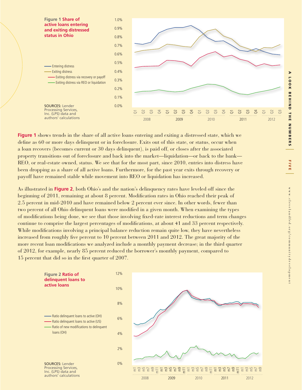|

 $\preccurlyeq$ 

www.clevelandfed.org/communitydevelopment

ww.clevelandfed.org/communitydevelopment



**Figure 1** shows trends in the share of all active loans entering and exiting a distressed state, which we define as 60 or more days delinquent or in foreclosure. Exits out of this state, or status, occur when a loan recovers (becomes current or 30 days delinquent), is paid off, or closes after the associated property transitions out of foreclosure and back into the market—liquidation—or back to the bank— REO, or real-estate owned, status. We see that for the most part, since 2010, entries into distress have been dropping as a share of all active loans. Furthermore, for the past year exits through recovery or payoff have remained stable while movement into REO or liquidation has increased.

As illustrated in **Figure 2**, both Ohio's and the nation's delinquency rates have leveled off since the beginning of 2011, remaining at about 8 percent. Modification rates in Ohio reached their peak of 2.5 percent in mid-2010 and have remained below 2 percent ever since. In other words, fewer than two percent of all Ohio delinquent loans were modified in a given month. When examining the types of modifications being done, we see that those involving fixed-rate interest reductions and term changes continue to comprise the largest percentages of modifications, at about 41 and 33 percent respectively. While modifications involving a principal balance reduction remain quite low, they have nevertheless increased from roughly five percent to 10 percent between 2011 and 2012. The great majority of the more recent loan modifications we analyzed include a monthly payment decrease; in the third quarter of 2012, for example, nearly 85 percent reduced the borrower's monthly payment, compared to 15 percent that did so in the first quarter of 2007.

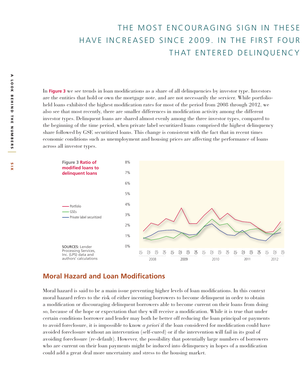# THE MOST ENCOURAGING SIGN IN THESE THAT ENTERED DELINQUENCY HAVE INCREASED SINCE 2009. IN THE FIRST FOUR

In **Figure 3** we see trends in loan modifications as a share of all delinquencies by investor type. Investors are the entities that hold or own the mortgage note, and are not necessarily the servicer. While portfolioheld loans exhibited the highest modification rates for most of the period from 2008 through 2012, we also see that most recently, there are smaller differences in modification activity among the different investor types. Delinquent loans are shared almost evenly among the three investor types, compared to the beginning of the time period, when private label securitized loans comprised the highest delinquency share followed by GSE securitized loans. This change is consistent with the fact that in recent times economic conditions such as unemployment and housing prices are affecting the performance of loans across all investor types.



### **Moral Hazard and Loan Modifications**

Moral hazard is said to be a main issue preventing higher levels of loan modifications. In this context moral hazard refers to the risk of either incenting borrowers to become delinquent in order to obtain a modification or discouraging delinquent borrowers able to become current on their loans from doing so, because of the hope or expectation that they will receive a modification. While it is true that under certain conditions borrower and lender may both be better off reducing the loan principal or payments to avoid foreclosure, it is impossible to know *a priori* if the loan considered for modification could have avoided foreclosure without an intervention (self-cured) or if the intervention will fail in its goal of avoiding foreclosure (re-default). However, the possibility that potentially large numbers of borrowers who are current on their loan payments might be induced into delinquency in hopes of a modification could add a great deal more uncertainty and stress to the housing market.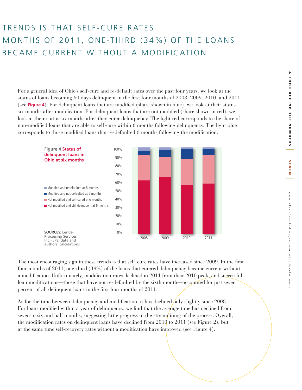seven |

SEVEN

www.clevelandfed.org/communitydevelopment

www.clevelandfed.org/communitydevelopment

# TRENDS IS THAT SELF-CURE RATES BECAME CURRENT WITHOUT A MODIFICATION. MONTHS OF 2011, ONE-THIRD (34%) OF THE LOANS

For a general idea of Ohio's self-cure and re-default rates over the past four years, we look at the status of loans becoming 60 days delinquent in the first four months of 2008, 2009, 2010, and 2011 (see **Figure 4**). For delinquent loans that are modified (share shown in blue), we look at their status six months after modification. For delinquent loans that are not modified (share shown in red), we look at their status six months after they enter delinquency. The light red corresponds to the share of non-modified loans that are able to self-cure within 6 months following delinquency. The light blue corresponds to those modified loans that re-defaulted 6 months following the modification.



The most encouraging sign in these trends is that self-cure rates have increased since 2009. In the first four months of 2011, one-third (34%) of the loans that entered delinquency became current without a modification. Unfortunately, modification rates declined in 2011 from their 2010 peak, and successful loan modifications—those that have not re-defaulted by the sixth month—accounted for just seven percent of all delinquent loans in the first four months of 2011.

As for the time between delinquency and modification, it has declined only slightly since 2008. For loans modified within a year of delinquency, we find that the average time has declined from seven to six and half months, suggesting little progress in the streamlining of the process. Overall, the modification rates on delinquent loans have declined from 2010 to 2011 (see Figure 2), but at the same time self-recovery rates without a modification have improved (see Figure 4).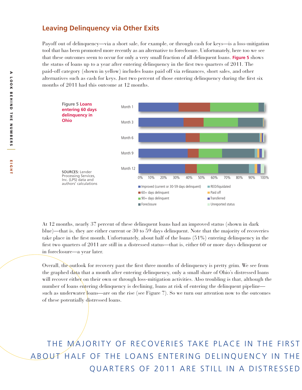### **Leaving Delinquency via Other Exits**

Payoff out of delinquency—via a short sale, for example, or through cash for keys—is a loss-mitigation tool that has been promoted more recently as an alternative to foreclosure. Unfortunately, here too we see that these outcomes seem to occur for only a very small fraction of all delinquent loans. **Figure 5** shows the status of loans up to a year after entering delinquency in the first two quarters of 2011. The paid-off category (shown in yellow) includes loans paid off via refinances, short sales, and other alternatives such as cash for keys. Just two percent of those entering delinquency during the first six months of 2011 had this outcome at 12 months.



At 12 months, nearly 37 percent of these delinquent loans had an improved status (shown in dark blue)—that is, they are either current or 30 to 59 days delinquent. Note that the majority of recoveries take place in the first month. Unfortunately, about half of the loans (51%) entering delinquency in the first two quarters of 2011 are still in a distressed status—that is, either 60 or more days delinquent or in foreclosure—a year later.

Overall, the outlook for recovery past the first three months of delinquency is pretty grim. We see from the graphed data that a month after entering delinquency, only a small share of Ohio's distressed loans will recover either on their own or through loss-mitigation activities. Also troubling is that, although the number of loans entering delinquency is declining, loans at risk of entering the delinquent pipeline such as underwater loans—are on the rise (see Figure 7). So we turn our attention now to the outcomes of these potentially distressed loans.

THE MAJORITY OF RECOVERIES TAKE PLACE IN THE FIRST QUARTERS OF 2011 ARE STILL IN A DISTRESSED ABOUT HALF OF THE LOANS ENTERING DELINQUENCY IN THE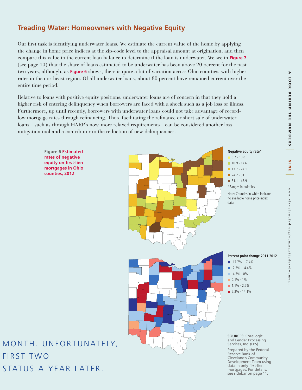# **Treading Water: Homeowners with Negative Equity**

Our first task is identifying underwater loans. We estimate the current value of the home by applying the change in home price indices at the zip-code level to the appraisal amount at origination, and then compare this value to the current loan balance to determine if the loan is underwater. We see in **Figure 7** (see page 10) that the share of loans estimated to be underwater has been above 20 percent for the past two years, although, as **Figure 6** shows, there is quite a bit of variation across Ohio counties, with higher rates in the northeast region. Of all underwater loans, about 80 percent have remained current over the entire time period.

Relative to loans with positive equity positions, underwater loans are of concern in that they hold a higher risk of entering delinquency when borrowers are faced with a shock such as a job loss or illness. Furthermore, up until recently, borrowers with underwater loans could not take advantage of recordlow mortgage rates through refinancing. Thus, facilitating the refinance or short sale of underwater loans—such as through HARP's now-more relaxed requirements—can be considered another lossmitigation tool and a contributor to the reduction of new delinquencies.





MONTH. UNFORTUNATELY, STATUS A YEAR LATER. **FIRST TWO** 

Development Team using data in only first-lien mortgages. For details, see sidebar on page 11.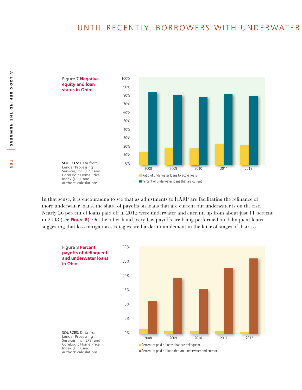# UNTIL RECENTLY, BORROWERS WITH UNDERWATER



In that sense, it is encouraging to see that as adjustments to HARP are facilitating the refinance of more underwater loans, the share of payoffs on loans that are current but underwater is on the rise. Nearly 26 percent of loans paid off in 2012 were underwater and current, up from about just 11 percent in 2008 (see **Figure 8**). On the other hand, very few payoffs are being performed on delinquent loans, suggesting that loss mitigation strategies are harder to implement in the later of stages of distress.

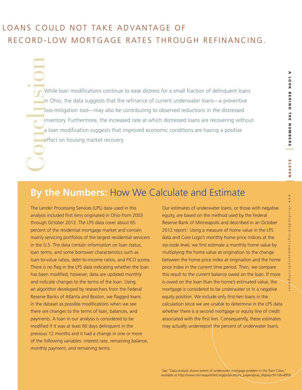# | m l m v m z |

# LOANS COULD NOT TAKE ADVANTAGE OF RECORD-LOW MORTGAGE RATES THROUGH REFINANCING.

While loan modifications continue to ease distress for a small fraction of delinquent loans in Ohio, the data suggests that the refinance of current underwater loans—a preventive loss-mitigation tool—may also be contributing to observed reductions in the distressed inventory. Furthermore, the increased rate at which distressed loans are recovering without a loan modification suggests that improved economic conditions are having a positive effect on housing market recovery. Conclusion

# **By the Numbers:** How We Calculate and Estimate

The Lender Processing Services (LPS) data used in this analysis included first liens originated in Ohio from 2003 through October 2012. The LPS data cover about 65 percent of the residential mortgage market and contain mainly servicing portfolios of the largest residential servicers in the U.S. The data contain information on loan status, loan terms, and some borrower characteristics such as loan-to-value ratios, debt-to-income ratios, and FICO scores. There is no flag in the LPS data indicating whether the loan has been modified; however, data are updated monthly and indicate changes to the terms of the loan. Using an algorithm developed by researchers from the Federal Reserve Banks of Atlanta and Boston, we flagged loans in the dataset as possible modifications when we see there are changes to the terms of loan, balances, and payments. A loan in our analysis is considered to be modified if it was at least 60 days delinquent in the previous 12 months and it had a change in one or more of the following variables: interest rate, remaining balance, monthly payment, and remaining terms.

Our estimates of underwater loans, or those with negative equity, are based on the method used by the Federal Reserve Bank of Minneapolis and described in an October 2012 report.<sup>1</sup> Using a measure of home value in the LPS data and Core Logic's monthly home price indices at the zip-code level, we first estimate a monthly home value by multiplying the home value at origination to the change between the home price index at origination and the home price index in the current time period. Then, we compare this result to the current balance owed on the loan. If more is owed on the loan than the home's estimated value, the mortgage is considered to be underwater or in a negative equity position. We include only first-lien loans in the calculation since we are unable to determine in the LPS data whether there is a second mortgage or equity line of credit associated with the first lien. Consequently, these estimates may actually underreport the percent of underwater loans.